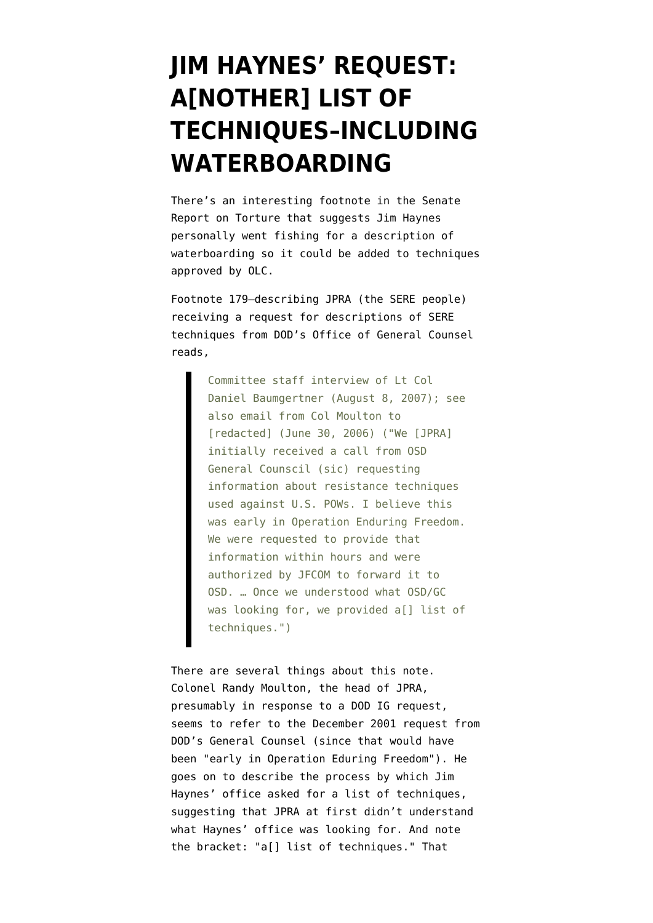## **[JIM HAYNES' REQUEST:](https://www.emptywheel.net/2009/04/27/jim-haynes-request-another-list-of-techniques-including-waterboarding/) [A\[NOTHER\] LIST OF](https://www.emptywheel.net/2009/04/27/jim-haynes-request-another-list-of-techniques-including-waterboarding/) [TECHNIQUES–INCLUDING](https://www.emptywheel.net/2009/04/27/jim-haynes-request-another-list-of-techniques-including-waterboarding/) [WATERBOARDING](https://www.emptywheel.net/2009/04/27/jim-haynes-request-another-list-of-techniques-including-waterboarding/)**

There's an interesting footnote in the [Senate](http://armed-services.senate.gov/Publications/Detainee%20Report%20Final_April%2022%202009.pdf) [Report on Torture](http://armed-services.senate.gov/Publications/Detainee%20Report%20Final_April%2022%202009.pdf) that suggests Jim Haynes personally went fishing for a description of waterboarding so it could be added to techniques approved by OLC.

Footnote 179–describing JPRA (the SERE people) receiving a request for descriptions of SERE techniques from DOD's Office of General Counsel reads,

> Committee staff interview of Lt Col Daniel Baumgertner (August 8, 2007); see also email from Col Moulton to [redacted] (June 30, 2006) ("We [JPRA] initially received a call from OSD General Counscil (sic) requesting information about resistance techniques used against U.S. POWs. I believe this was early in Operation Enduring Freedom. We were requested to provide that information within hours and were authorized by JFCOM to forward it to OSD. … Once we understood what OSD/GC was looking for, we provided a[] list of techniques.")

There are several things about this note. Colonel Randy Moulton, the head of JPRA, presumably in response to a DOD IG request, seems to refer to the December 2001 request from DOD's General Counsel (since that would have been "early in Operation Eduring Freedom"). He goes on to describe the process by which Jim Haynes' office asked for a list of techniques, suggesting that JPRA at first didn't understand what Haynes' office was looking for. And note the bracket: "a[] list of techniques." That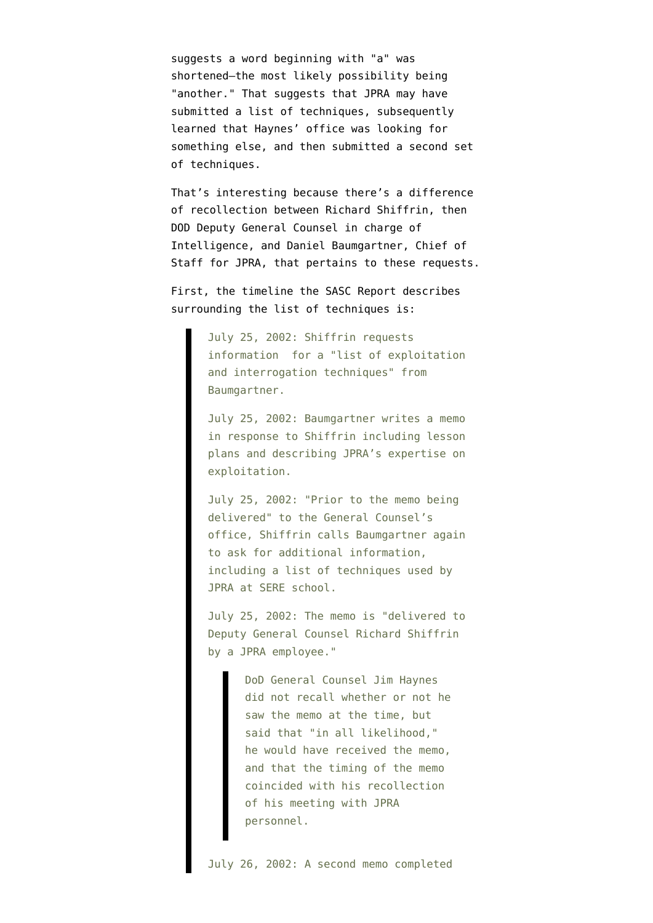suggests a word beginning with "a" was shortened–the most likely possibility being "another." That suggests that JPRA may have submitted a list of techniques, subsequently learned that Haynes' office was looking for something else, and then submitted a second set of techniques.

That's interesting because there's a difference of recollection between Richard Shiffrin, then DOD Deputy General Counsel in charge of Intelligence, and Daniel Baumgartner, Chief of Staff for JPRA, that pertains to these requests.

First, the timeline the SASC Report describes surrounding the list of techniques is:

> July 25, 2002: Shiffrin requests information for a "list of exploitation and interrogation techniques" from Baumgartner.

> July 25, 2002: Baumgartner writes a memo in response to Shiffrin including lesson plans and describing JPRA's expertise on exploitation.

> July 25, 2002: "Prior to the memo being delivered" to the General Counsel's office, Shiffrin calls Baumgartner again to ask for additional information, including a list of techniques used by JPRA at SERE school.

> July 25, 2002: The memo is "delivered to Deputy General Counsel Richard Shiffrin by a JPRA employee."

> > DoD General Counsel Jim Haynes did not recall whether or not he saw the memo at the time, but said that "in all likelihood," he would have received the memo, and that the timing of the memo coincided with his recollection of his meeting with JPRA personnel.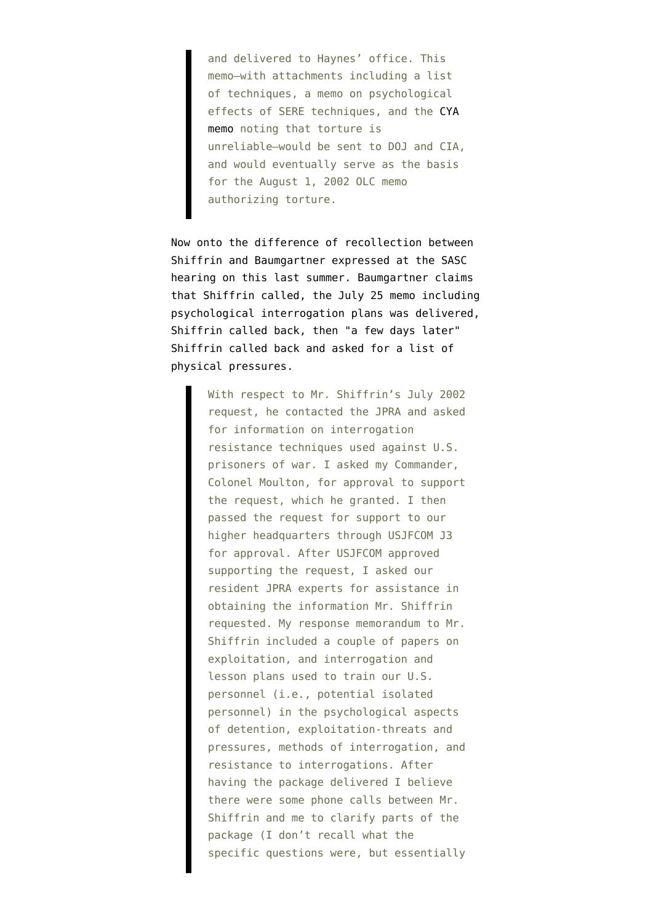and delivered to Haynes' office. This memo–with attachments including a list of techniques, a memo on psychological effects of SERE techniques, and the [CYA](http://www.washingtonpost.com/wp-srv/nation/pdf/JPRA-Memo_042409.pdf) [memo](http://www.washingtonpost.com/wp-srv/nation/pdf/JPRA-Memo_042409.pdf) noting that torture is unreliable–would be sent to DOJ and CIA, and would eventually serve as the basis for the August 1, 2002 OLC memo authorizing torture.

Now onto the difference of recollection between Shiffrin and Baumgartner expressed at the [SASC](http://www.fas.org/irp/congress/2008_hr/treatment.pdf) [hearing on this last summer](http://www.fas.org/irp/congress/2008_hr/treatment.pdf). Baumgartner claims that Shiffrin called, the July 25 memo including psychological interrogation plans was delivered, Shiffrin called back, then "a few days later" Shiffrin called back and asked for a list of physical pressures.

> With respect to Mr. Shiffrin's July 2002 request, he contacted the JPRA and asked for information on interrogation resistance techniques used against U.S. prisoners of war. I asked my Commander, Colonel Moulton, for approval to support the request, which he granted. I then passed the request for support to our higher headquarters through USJFCOM J3 for approval. After USJFCOM approved supporting the request, I asked our resident JPRA experts for assistance in obtaining the information Mr. Shiffrin requested. My response memorandum to Mr. Shiffrin included a couple of papers on exploitation, and interrogation and lesson plans used to train our U.S. personnel (i.e., potential isolated personnel) in the psychological aspects of detention, exploitation-threats and pressures, methods of interrogation, and resistance to interrogations. After having the package delivered I believe there were some phone calls between Mr. Shiffrin and me to clarify parts of the package (I don't recall what the specific questions were, but essentially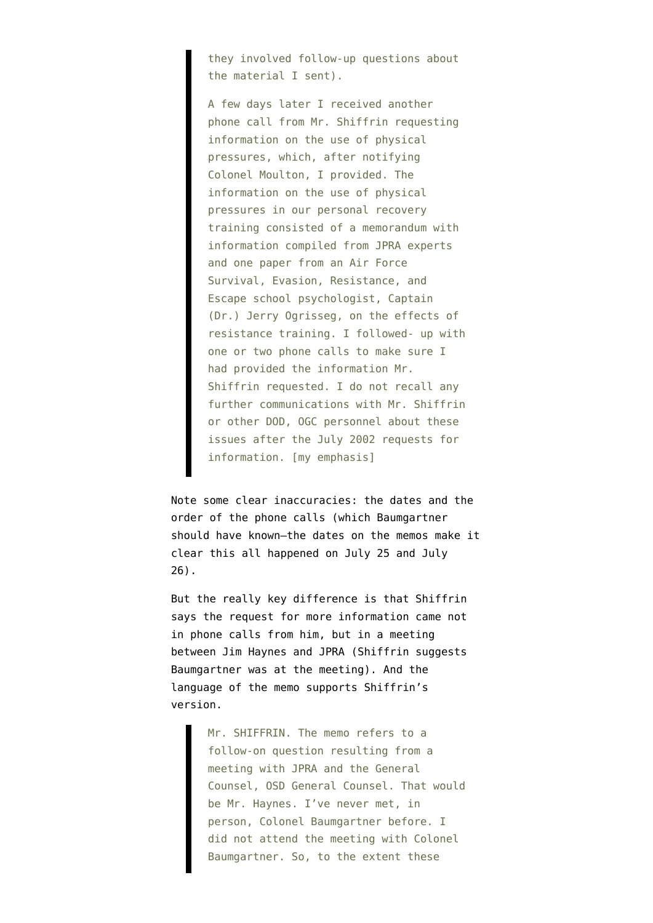they involved follow-up questions about the material I sent).

A few days later I received another phone call from Mr. Shiffrin requesting information on the use of physical pressures, which, after notifying Colonel Moulton, I provided. The information on the use of physical pressures in our personal recovery training consisted of a memorandum with information compiled from JPRA experts and one paper from an Air Force Survival, Evasion, Resistance, and Escape school psychologist, Captain (Dr.) Jerry Ogrisseg, on the effects of resistance training. I followed- up with one or two phone calls to make sure I had provided the information Mr. Shiffrin requested. I do not recall any further communications with Mr. Shiffrin or other DOD, OGC personnel about these issues after the July 2002 requests for information. [my emphasis]

Note some clear inaccuracies: the dates and the order of the phone calls (which Baumgartner should have known–the dates on the memos make it clear this all happened on July 25 and July 26).

But the really key difference is that Shiffrin says the request for more information came not in phone calls from him, but in a meeting between Jim Haynes and JPRA (Shiffrin suggests Baumgartner was at the meeting). And the language of the memo supports Shiffrin's version.

> Mr. SHIFFRIN. The memo refers to a follow-on question resulting from a meeting with JPRA and the General Counsel, OSD General Counsel. That would be Mr. Haynes. I've never met, in person, Colonel Baumgartner before. I did not attend the meeting with Colonel Baumgartner. So, to the extent these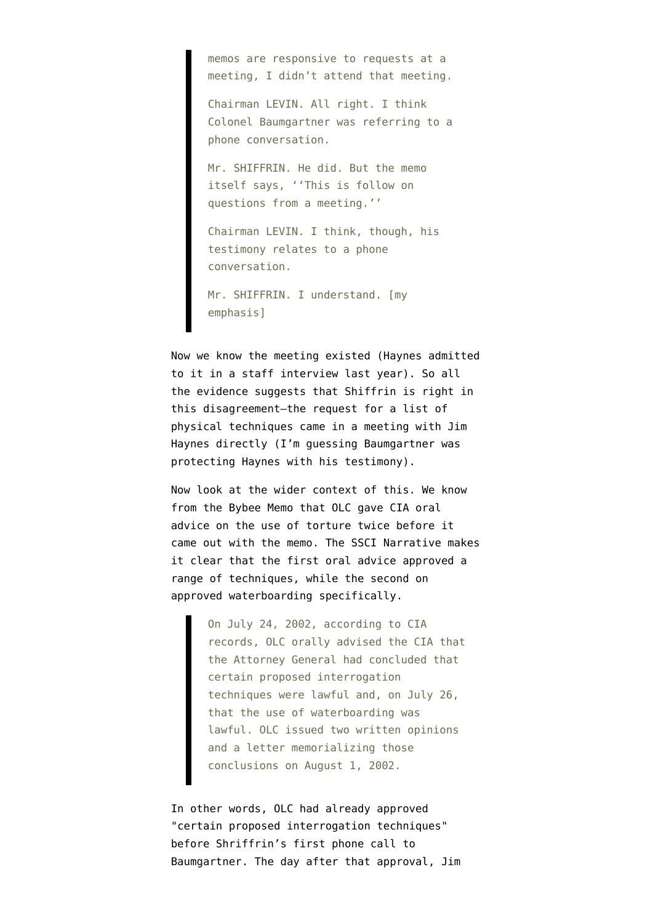memos are responsive to requests at a meeting, I didn't attend that meeting.

Chairman LEVIN. All right. I think Colonel Baumgartner was referring to a phone conversation.

Mr. SHIFFRIN. He did. But the memo itself says, ''This is follow on questions from a meeting.''

Chairman LEVIN. I think, though, his testimony relates to a phone conversation.

Mr. SHIFFRIN. I understand. [my emphasis]

Now we know the meeting existed (Haynes admitted to it in a staff interview last year). So all the evidence suggests that Shiffrin is right in this disagreement–the request for a list of physical techniques came in a meeting with Jim Haynes directly (I'm guessing Baumgartner was protecting Haynes with his testimony).

Now look at the wider context of this. We know from the [Bybee Memo](http://stream.luxmedia501.com/?file=clients/aclu/olc_08012002_bybee.pdf&method=dl) that OLC gave CIA oral advice on the use of torture twice before it came out with the memo. The [SSCI Narrative](http://intelligence.senate.gov/pdfs/olcopinion.pdf) makes it clear that the first oral advice approved a range of techniques, while the second on approved waterboarding specifically.

> On July 24, 2002, according to CIA records, OLC orally advised the CIA that the Attorney General had concluded that certain proposed interrogation techniques were lawful and, on July 26, that the use of waterboarding was lawful. OLC issued two written opinions and a letter memorializing those conclusions on August 1, 2002.

In other words, OLC had already approved "certain proposed interrogation techniques" before Shriffrin's first phone call to Baumgartner. The day after that approval, Jim